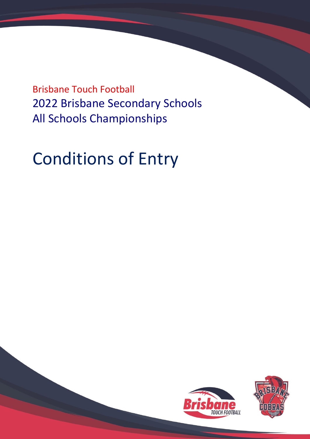Brisbane Touch Football 2022 Brisbane Secondary Schools All Schools Championships

# Conditions of Entry



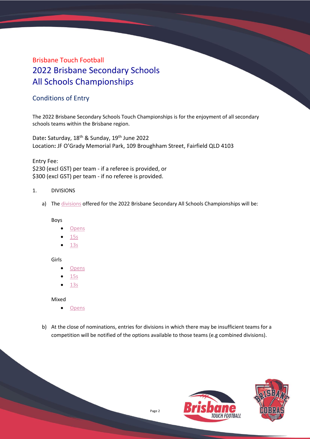# Brisbane Touch Football 2022 Brisbane Secondary Schools All Schools Championships

# Conditions of Entry

The 2022 Brisbane Secondary Schools Touch Championships is for the enjoyment of all secondary schools teams within the Brisbane region.

Date**:** Saturday, 18th & Sunday, 19th June 2022 Location**:** JF O'Grady Memorial Park, 109 Broughham Street, Fairfield QLD 4103

Entry Fee: \$230 (excl GST) per team - if a referee is provided, or \$300 (excl GST) per team - if no referee is provided.

- 1. DIVISIONS
	- a) Th[e divisions](https://profile.mysideline.com.au/register/compsearch/?criteria=BSAS%20) offered for the 2022 Brisbane Secondary All Schools Championships will be:

Boys

- **[Opens](https://profile.mysideline.com.au/register/compsearch/?criteria=BSAS%20Boys%2018%27s%20&type=&activity=&gender=&agemin=&agemax=&comptype=&source=touch-football)**
- [15s](https://profile.mysideline.com.au/register/compsearch/?criteria=BSAS%20Boys%2015%27s%20&type=&activity=&gender=&agemin=&agemax=&comptype=&source=touch-football)
- [13s](https://profile.mysideline.com.au/register/compsearch/?criteria=BSAS%20Boys%2013%27s%20&type=&activity=&gender=&agemin=&agemax=&comptype=&source=touch-football)

Girls

- [Opens](https://profile.mysideline.com.au/register/compsearch/?criteria=BSAS%20Girls%2018%27s%20&type=&activity=&gender=&agemin=&agemax=&comptype=&source=touch-football)
- [15s](https://profile.mysideline.com.au/register/compsearch/?criteria=BSAS%20Girls%2015%27s%20&type=&activity=&gender=&agemin=&agemax=&comptype=&source=touch-football)
- [13s](https://profile.mysideline.com.au/register/compsearch/?criteria=BSAS%20Girls%2013%27s%20&type=&activity=&gender=&agemin=&agemax=&comptype=&source=touch-football)

Mixed

- [Opens](https://profile.mysideline.com.au/register/compsearch/?criteria=BSAS%20Mixed%2018%27s%20&type=&activity=&gender=&agemin=&agemax=&comptype=&source=touch-football)
- b) At the close of nominations, entries for divisions in which there may be insufficient teams for a competition will be notified of the options available to those teams (e.g combined divisions).

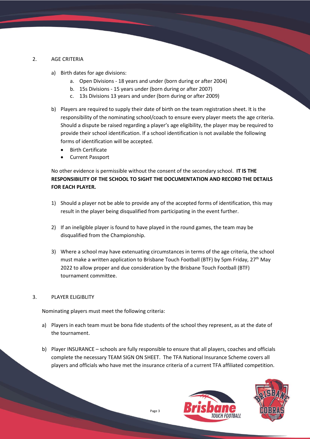# 2. AGE CRITERIA

- a) Birth dates for age divisions:
	- a. Open Divisions 18 years and under (born during or after 2004)
	- b. 15s Divisions 15 years under (born during or after 2007)
	- c. 13s Divisions 13 years and under (born during or after 2009)
- b) Players are required to supply their date of birth on the team registration sheet. It is the responsibility of the nominating school/coach to ensure every player meets the age criteria. Should a dispute be raised regarding a player's age eligibility, the player may be required to provide their school identification. If a school identification is not available the following forms of identification will be accepted.
	- Birth Certificate
	- Current Passport

No other evidence is permissible without the consent of the secondary school. **IT IS THE RESPONSIBILITY OF THE SCHOOL TO SIGHT THE DOCUMENTATION AND RECORD THE DETAILS FOR EACH PLAYER.**

- 1) Should a player not be able to provide any of the accepted forms of identification, this may result in the player being disqualified from participating in the event further.
- 2) If an ineligible player is found to have played in the round games, the team may be disqualified from the Championship.
- 3) Where a school may have extenuating circumstances in terms of the age criteria, the school must make a written application to Brisbane Touch Football (BTF) by 5pm Friday, 27<sup>th</sup> May 2022 to allow proper and due consideration by the Brisbane Touch Football (BTF) tournament committee.

#### 3. PLAYER ELIGIBLITY

Nominating players must meet the following criteria:

- a) Players in each team must be bona fide students of the school they represent, as at the date of the tournament.
- b) Player INSURANCE schools are fully responsible to ensure that all players, coaches and officials complete the necessary TEAM SIGN ON SHEET. The TFA National Insurance Scheme covers all players and officials who have met the insurance criteria of a current TFA affiliated competition.



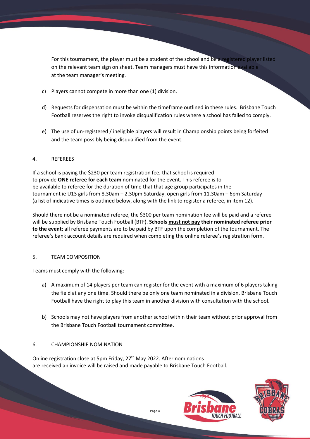For this tournament, the player must be a student of the school and be a registered player listed on the relevant team sign on sheet. Team managers must have this information available at the team manager's meeting.

- c) Players cannot compete in more than one (1) division.
- d) Requests for dispensation must be within the timeframe outlined in these rules. Brisbane Touch Football reserves the right to invoke disqualification rules where a school has failed to comply.
- e) The use of un-registered / ineligible players will result in Championship points being forfeited and the team possibly being disqualified from the event.

# 4. REFEREES

If a school is paying the \$230 per team registration fee, that school is required to provide **ONE referee for each team** nominated for the event. This referee is to be available to referee for the duration of time that that age group participates in the tournament ie U13 girls from 8.30am – 2.30pm Saturday, open girls from 11.30am – 6pm Saturday (a list of indicative times is outlined below, along with the link to register a referee, in item 12).

Should there not be a nominated referee, the \$300 per team nomination fee will be paid and a referee will be supplied by Brisbane Touch Football (BTF). **Schools must not pay their nominated referee prior to the event**; all referee payments are to be paid by BTF upon the completion of the tournament. The referee's bank account details are required when completing the online referee's registration form.

# 5. TEAM COMPOSITION

Teams must comply with the following:

- a) A maximum of 14 players per team can register for the event with a maximum of 6 players taking the field at any one time. Should there be only one team nominated in a division, Brisbane Touch Football have the right to play this team in another division with consultation with the school.
- b) Schools may not have players from another school within their team without prior approval from the Brisbane Touch Football tournament committee.

# 6. CHAMPIONSHIP NOMINATION

Online registration close at 5pm Friday, 27<sup>th</sup> May 2022. After nominations are received an invoice will be raised and made payable to Brisbane Touch Football.



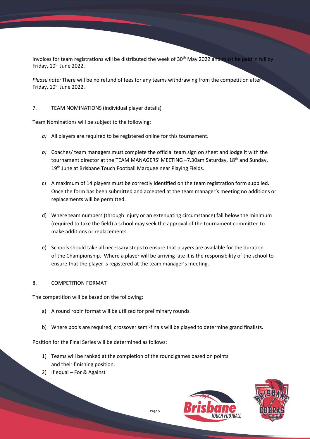Invoices for team registrations will be distributed the week of 30<sup>th</sup> May 2022 and must be paid in full by Friday, 10<sup>th</sup> June 2022.

*Please note:* There will be no refund of fees for any teams withdrawing from the competition after Friday,  $10^{th}$  June 2022.

# 7. TEAM NOMINATIONS (individual player details)

Team Nominations will be subject to the following:

- *a)* All players are required to be registered online for this tournament.
- *b)* Coaches/ team managers must complete the official team sign on sheet and lodge it with the tournament director at the TEAM MANAGERS' MEETING -7.30am Saturday, 18<sup>th</sup> and Sunday, 19th June at Brisbane Touch Football Marquee near Playing Fields*.*
- c) A maximum of 14 players must be correctly identified on the team registration form supplied. Once the form has been submitted and accepted at the team manager's meeting no additions or replacements will be permitted.
- d) Where team numbers (through injury or an extenuating circumstance) fall below the minimum (required to take the field) a school may seek the approval of the tournament committee to make additions or replacements.
- e) Schools should take all necessary steps to ensure that players are available for the duration of the Championship. Where a player will be arriving late it is the responsibility of the school to ensure that the player is registered at the team manager's meeting.

# 8. COMPETITION FORMAT

The competition will be based on the following:

- a) A round robin format will be utilized for preliminary rounds.
- b) Where pools are required, crossover semi-finals will be played to determine grand finalists.

Position for the Final Series will be determined as follows:

- 1) Teams will be ranked at the completion of the round games based on points and their finishing position.
- 2) If equal For & Against



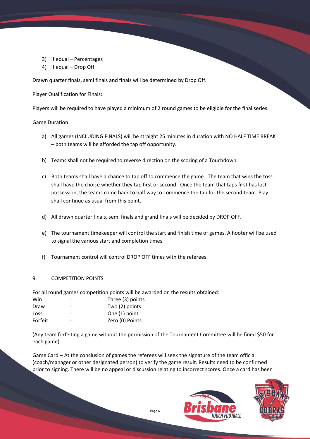- 3) If equal Percentages
- 4) If equal Drop Off

Drawn quarter finals, semi finals and finals will be determined by Drop Off.

Player Qualification for Finals:

Players will be required to have played a minimum of 2 round games to be eligible for the final series.

Game Duration:

- a) All games (INCLUDING FINALS) will be straight 25 minutes in duration with NO HALF TIME BREAK – both teams will be afforded the tap off opportunity.
- b) Teams shall not be required to reverse direction on the scoring of a Touchdown.
- c) Both teams shall have a chance to tap off to commence the game. The team that wins the toss shall have the choice whether they tap first or second. Once the team that taps first has lost possession, the teams come back to half way to commence the tap for the second team. Play shall continue as usual from this point.
- d) All drawn quarter finals, semi finals and grand finals will be decided by DROP OFF.
- e) The tournament timekeeper will control the start and finish time of games. A hooter will be used to signal the various start and completion times.
- f) Tournament control will control DROP OFF times with the referees.

# 9. COMPETITION POINTS

For all round games competition points will be awarded on the results obtained:

| Win     | = | Three (3) points |
|---------|---|------------------|
| Draw    | = | Two $(2)$ points |
| Loss    | = | One (1) point    |
| Forfeit | = | Zero (0) Points  |

(Any team forfeiting a game without the permission of the Tournament Committee will be fined \$50 for each game).

Game Card – At the conclusion of games the referees will seek the signature of the team official (coach/manager or other designated person) to verify the game result. Results need to be confirmed prior to signing. There will be no appeal or discussion relating to incorrect scores. Once a card has been



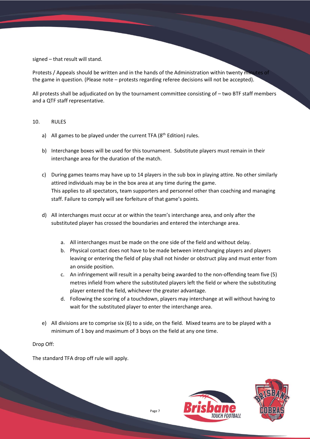signed – that result will stand.

Protests / Appeals should be written and in the hands of the Administration within twenty minutes of the game in question. (Please note – protests regarding referee decisions will not be accepted).

All protests shall be adjudicated on by the tournament committee consisting of – two BTF staff members and a QTF staff representative.

#### 10. RULES

- a) All games to be played under the current TFA (8<sup>th</sup> Edition) rules.
- b) Interchange boxes will be used for this tournament. Substitute players must remain in their interchange area for the duration of the match.
- c) During games teams may have up to 14 players in the sub box in playing attire. No other similarly attired individuals may be in the box area at any time during the game. This applies to all spectators, team supporters and personnel other than coaching and managing staff. Failure to comply will see forfeiture of that game's points.
- d) All interchanges must occur at or within the team's interchange area, and only after the substituted player has crossed the boundaries and entered the interchange area.
	- a. All interchanges must be made on the one side of the field and without delay.
	- b. Physical contact does not have to be made between interchanging players and players leaving or entering the field of play shall not hinder or obstruct play and must enter from an onside position.
	- c. An infringement will result in a penalty being awarded to the non-offending team five (5) metres infield from where the substituted players left the field or where the substituting player entered the field, whichever the greater advantage.
	- d. Following the scoring of a touchdown, players may interchange at will without having to wait for the substituted player to enter the interchange area.
- e) All divisions are to comprise six (6) to a side, on the field. Mixed teams are to be played with a minimum of 1 boy and maximum of 3 boys on the field at any one time.

#### Drop Off:

The standard TFA drop off rule will apply.



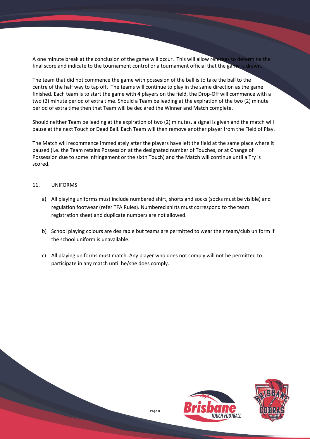A one minute break at the conclusion of the game will occur. This will allow referees to determine the final score and indicate to the tournament control or a tournament official that the game is drawn.

The team that did not commence the game with possesion of the ball is to take the ball to the centre of the half way to tap off. The teams will continue to play in the same direction as the game finished. Each team is to start the game with 4 players on the field, the Drop-Off will commence with a two (2) minute period of extra time. Should a Team be leading at the expiration of the two (2) minute period of extra time then that Team will be declared the Winner and Match complete.

Should neither Team be leading at the expiration of two (2) minutes, a signal is given and the match will pause at the next Touch or Dead Ball. Each Team will then remove another player from the Field of Play.

The Match will recommence immediately after the players have left the field at the same place where it paused (i.e. the Team retains Possession at the designated number of Touches, or at Change of Possession due to some Infringement or the sixth Touch) and the Match will continue until a Try is scored.

### 11. UNIFORMS

- a) All playing uniforms must include numbered shirt, shorts and socks (socks must be visible) and regulation footwear (refer TFA Rules). Numbered shirts must correspond to the team registration sheet and duplicate numbers are not allowed.
- b) School playing colours are desirable but teams are permitted to wear their team/club uniform if the school uniform is unavailable.
- c) All playing uniforms must match. Any player who does not comply will not be permitted to participate in any match until he/she does comply.

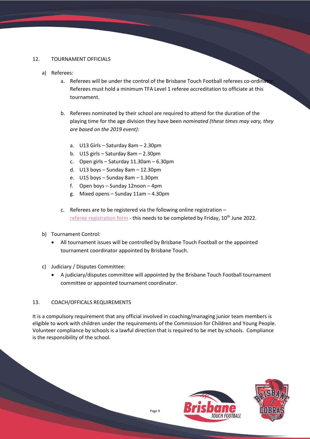# 12. TOURNAMENT OFFICIALS

- a) Referees:
	- a. Referees will be under the control of the Brisbane Touch Football referees co-ordinat. Referees must hold a minimum TFA Level 1 referee accreditation to officiate at this tournament.
	- b. Referees nominated by their school are required to attend for the duration of the playing time for the age division they have been *nominated (these times may vary, they are based on the 2019 event)*:
		- a. U13 Girls Saturday 8am 2.30pm
		- b. U15 girls Saturday 8am 2.30pm
		- c. Open girls Saturday 11.30am 6.30pm
		- d. U13 boys Sunday 8am 12.30pm
		- e. U15 boys Sunday 8am 1.30pm
		- f. Open boys Sunday 12noon 4pm
		- g. Mixed opens Sunday 11am 4.30pm
	- c. Referees are to be registered via the following online registration [referee registration form](https://forms.office.com/Pages/ResponsePage.aspx?id=-6eJ4gLFsUGviXzZfjSQnL9q-pc2BR1Agrs-U9IRqnxUQ0ZCRjM0RU84T0ZVSzkxTzRMQkNCMkZCRC4u) - this needs to be completed by Friday, 10<sup>th</sup> June 2022.
- b) Tournament Control:
	- All tournament issues will be controlled by Brisbane Touch Football or the appointed tournament coordinator appointed by Brisbane Touch.
- c) Judiciary / Disputes Committee:
	- A judiciary/disputes committee will appointed by the Brisbane Touch Football tournament committee or appointed tournament coordinator.

# 13. COACH/OFFICALS REQUIREMENTS

It is a compulsory requirement that any official involved in coaching/managing junior team members is eligible to work with children under the requirements of the Commission for Children and Young People. Volunteer compliance by schools is a lawful direction that is required to be met by schools. Compliance is the responsibility of the school.

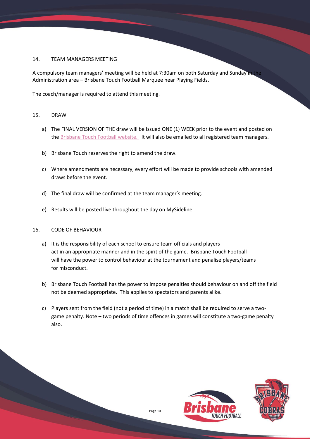# 14. TEAM MANAGERS MEETING

A compulsory team managers' meeting will be held at 7:30am on both Saturday and Sunday in the Administration area – Brisbane Touch Football Marquee near Playing Fields.

The coach/manager is required to attend this meeting.

### 15. DRAW

- a) The FINAL VERSION OF THE draw will be issued ONE (1) WEEK prior to the event and posted on the [Brisbane Touch Football website.](http://www.brisbanetouchfootball.com.au/) It will also be emailed to all registered team managers.
- b) Brisbane Touch reserves the right to amend the draw.
- c) Where amendments are necessary, every effort will be made to provide schools with amended draws before the event.
- d) The final draw will be confirmed at the team manager's meeting.
- e) Results will be posted live throughout the day on MySideline.

#### 16. CODE OF BEHAVIOUR

- a) It is the responsibility of each school to ensure team officials and players act in an appropriate manner and in the spirit of the game. Brisbane Touch Football will have the power to control behaviour at the tournament and penalise players/teams for misconduct.
- b) Brisbane Touch Football has the power to impose penalties should behaviour on and off the field not be deemed appropriate. This applies to spectators and parents alike.
- c) Players sent from the field (not a period of time) in a match shall be required to serve a twogame penalty. Note – two periods of time offences in games will constitute a two-game penalty also.

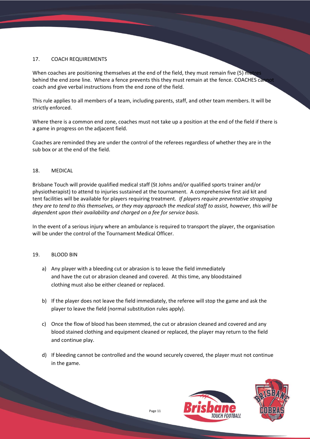### 17. COACH REQUIREMENTS

When coaches are positioning themselves at the end of the field, they must remain five (5) metres behind the end zone line. Where a fence prevents this they must remain at the fence. COACHES cannot coach and give verbal instructions from the end zone of the field.

This rule applies to all members of a team, including parents, staff, and other team members. It will be strictly enforced.

Where there is a common end zone, coaches must not take up a position at the end of the field if there is a game in progress on the adjacent field.

Coaches are reminded they are under the control of the referees regardless of whether they are in the sub box or at the end of the field.

#### 18. MEDICAL

Brisbane Touch will provide qualified medical staff (St Johns and/or qualified sports trainer and/or physiotherapist) to attend to injuries sustained at the tournament. A comprehensive first aid kit and tent facilities will be available for players requiring treatment*. If players require preventative strapping they are to tend to this themselves, or they may approach the medical staff to assist, however, this will be dependent upon their availability and charged on a fee for service basis.*

In the event of a serious injury where an ambulance is required to transport the player, the organisation will be under the control of the Tournament Medical Officer.

#### 19. BLOOD BIN

- a) Any player with a bleeding cut or abrasion is to leave the field immediately and have the cut or abrasion cleaned and covered. At this time, any bloodstained clothing must also be either cleaned or replaced.
- b) If the player does not leave the field immediately, the referee will stop the game and ask the player to leave the field (normal substitution rules apply).
- c) Once the flow of blood has been stemmed, the cut or abrasion cleaned and covered and any blood stained clothing and equipment cleaned or replaced, the player may return to the field and continue play.
- d) If bleeding cannot be controlled and the wound securely covered, the player must not continue in the game.



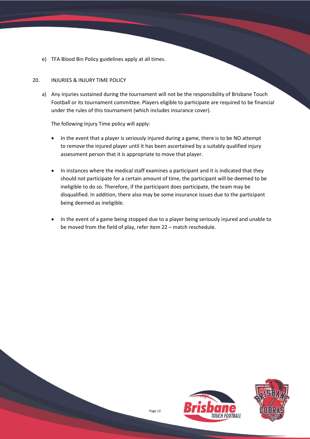e) TFA Blood Bin Policy guidelines apply at all times.

# 20. INJURIES & INJURY TIME POLICY

a) Any injuries sustained during the tournament will not be the responsibility of Brisbane Touch Football or its tournament committee. Players eligible to participate are required to be financial under the rules of this tournament (which includes insurance cover).

The following Injury Time policy will apply:

- In the event that a player is seriously injured during a game, there is to be NO attempt to remove the injured player until it has been ascertained by a suitably qualified injury assessment person that it is appropriate to move that player.
- In instances where the medical staff examines a participant and it is indicated that they should not participate for a certain amount of time, the participant will be deemed to be ineligible to do so. Therefore, if the participant does participate, the team may be disqualified. In addition, there also may be some insurance issues due to the participant being deemed as ineligible.
- In the event of a game being stopped due to a player being seriously injured and unable to be moved from the field of play, refer item 22 – match reschedule.

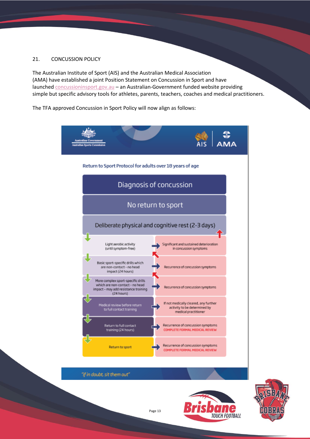# 21. CONCUSSION POLICY

The Australian Institute of Sport (AIS) and the Australian Medical Association (AMA) have established a joint Position Statement on Concussion in Sport and have launched [concussioninsport.gov.au](https://concussioninsport.gov.au/) - an Australian-Government funded website providing simple but specific advisory tools for athletes, parents, teachers, coaches and medical practitioners.

The TFA approved Concussion in Sport Policy will now align as follows:



"if in doubt, sit them out"



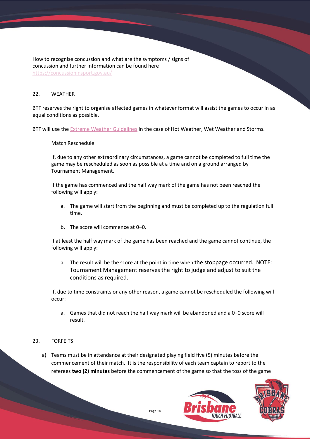How to recognise concussion and what are the symptoms / signs of concussion and further information can be found here <https://concussioninsport.gov.au/>

# 22. WEATHER

BTF reserves the right to organise affected games in whatever format will assist the games to occur in as equal conditions as possible.

BTF will use the **Extreme Weather Guidelines in the case of Hot Weather, Wet Weather and Storms.** 

#### Match Reschedule

If, due to any other extraordinary circumstances, a game cannot be completed to full time the game may be rescheduled as soon as possible at a time and on a ground arranged by Tournament Management.

If the game has commenced and the half way mark of the game has not been reached the following will apply:

- a. The game will start from the beginning and must be completed up to the regulation full time.
- b. The score will commence at 0–0.

If at least the half way mark of the game has been reached and the game cannot continue, the following will apply:

a. The result will be the score at the point in time when the stoppage occurred. NOTE: Tournament Management reserves the right to judge and adjust to suit the conditions as required.

If, due to time constraints or any other reason, a game cannot be rescheduled the following will occur:

a. Games that did not reach the half way mark will be abandoned and a 0–0 score will result.

#### 23. FORFEITS

a) Teams must be in attendance at their designated playing field five (5) minutes before the commencement of their match. It is the responsibility of each team captain to report to the referees **two (2) minutes** before the commencement of the game so that the toss of the game



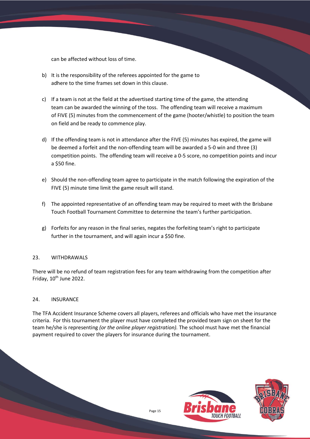can be affected without loss of time.

- b) It is the responsibility of the referees appointed for the game to adhere to the time frames set down in this clause.
- c) If a team is not at the field at the advertised starting time of the game, the attending team can be awarded the winning of the toss. The offending team will receive a maximum of FIVE (5) minutes from the commencement of the game (hooter/whistle) to position the team on field and be ready to commence play.
- d) If the offending team is not in attendance after the FIVE (5) minutes has expired, the game will be deemed a forfeit and the non-offending team will be awarded a 5-0 win and three (3) competition points. The offending team will receive a 0-5 score, no competition points and incur a \$50 fine.
- e) Should the non-offending team agree to participate in the match following the expiration of the FIVE (5) minute time limit the game result will stand.
- f) The appointed representative of an offending team may be required to meet with the Brisbane Touch Football Tournament Committee to determine the team's further participation.
- g) Forfeits for any reason in the final series, negates the forfeiting team's right to participate further in the tournament, and will again incur a \$50 fine.

# 23. WITHDRAWALS

There will be no refund of team registration fees for any team withdrawing from the competition after Friday, 10<sup>th</sup> June 2022.

#### 24. INSURANCE

The TFA Accident Insurance Scheme covers all players, referees and officials who have met the insurance criteria. For this tournament the player must have completed the provided team sign on sheet for the team he/she is representing *(or the online player registration).* The school must have met the financial payment required to cover the players for insurance during the tournament.